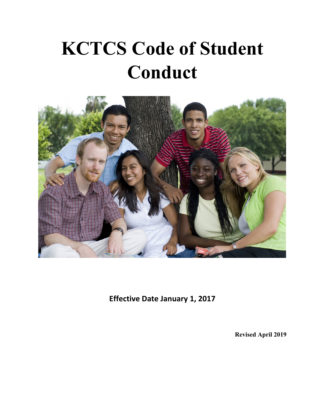# **KCTCS Code of Student Conduct**



**Effective Date January 1, 2017** 

**Revised April 2019**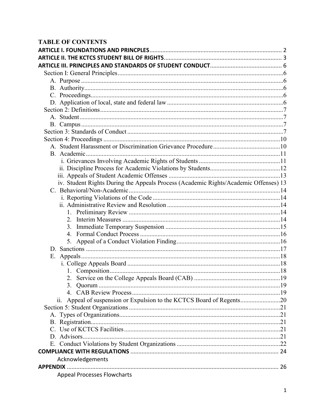#### **TABLE OF CONTENTS**

| iv. Student Rights During the Appeals Process (Academic Rights/Academic Offenses) 13 |  |
|--------------------------------------------------------------------------------------|--|
|                                                                                      |  |
|                                                                                      |  |
|                                                                                      |  |
|                                                                                      |  |
| 2.                                                                                   |  |
| 3.                                                                                   |  |
| 4.                                                                                   |  |
|                                                                                      |  |
|                                                                                      |  |
|                                                                                      |  |
|                                                                                      |  |
|                                                                                      |  |
|                                                                                      |  |
|                                                                                      |  |
|                                                                                      |  |
| Appeal of suspension or Expulsion to the KCTCS Board of Regents20<br>11.             |  |
|                                                                                      |  |
|                                                                                      |  |
|                                                                                      |  |
|                                                                                      |  |
|                                                                                      |  |
|                                                                                      |  |
|                                                                                      |  |
| Acknowledgements                                                                     |  |
|                                                                                      |  |
| <b>Appeal Processes Flowcharts</b>                                                   |  |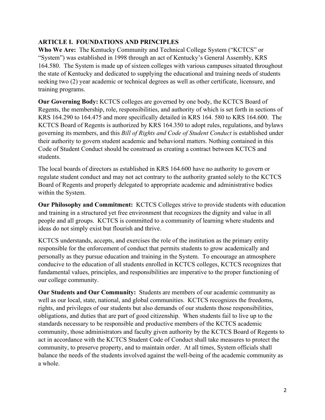#### **ARTICLE I. FOUNDATIONS AND PRINCIPLES**

**Who We Are:** The Kentucky Community and Technical College System ("KCTCS" or "System") was established in 1998 through an act of Kentucky's General Assembly, KRS 164.580. The System is made up of sixteen colleges with various campuses situated throughout the state of Kentucky and dedicated to supplying the educational and training needs of students seeking two (2) year academic or technical degrees as well as other certificate, licensure, and training programs.

**Our Governing Body:** KCTCS colleges are governed by one body, the KCTCS Board of Regents, the membership, role, responsibilities, and authority of which is set forth in sections of KRS 164.290 to 164.475 and more specifically detailed in KRS 164. 580 to KRS 164.600. The KCTCS Board of Regents is authorized by KRS 164.350 to adopt rules, regulations, and bylaws governing its members, and this *Bill of Rights and Code of Student Conduct* is established under their authority to govern student academic and behavioral matters. Nothing contained in this Code of Student Conduct should be construed as creating a contract between KCTCS and students.

The local boards of directors as established in KRS 164.600 have no authority to govern or regulate student conduct and may not act contrary to the authority granted solely to the KCTCS Board of Regents and properly delegated to appropriate academic and administrative bodies within the System.

**Our Philosophy and Commitment:** KCTCS Colleges strive to provide students with education and training in a structured yet free environment that recognizes the dignity and value in all people and all groups. KCTCS is committed to a community of learning where students and ideas do not simply exist but flourish and thrive.

KCTCS understands, accepts, and exercises the role of the institution as the primary entity responsible for the enforcement of conduct that permits students to grow academically and personally as they pursue education and training in the System. To encourage an atmosphere conducive to the education of all students enrolled in KCTCS colleges, KCTCS recognizes that fundamental values, principles, and responsibilities are imperative to the proper functioning of our college community.

**Our Students and Our Community:** Students are members of our academic community as well as our local, state, national, and global communities. KCTCS recognizes the freedoms, rights, and privileges of our students but also demands of our students those responsibilities, obligations, and duties that are part of good citizenship. When students fail to live up to the standards necessary to be responsible and productive members of the KCTCS academic community, those administrators and faculty given authority by the KCTCS Board of Regents to act in accordance with the KCTCS Student Code of Conduct shall take measures to protect the community, to preserve property, and to maintain order. At all times, System officials shall balance the needs of the students involved against the well-being of the academic community as a whole.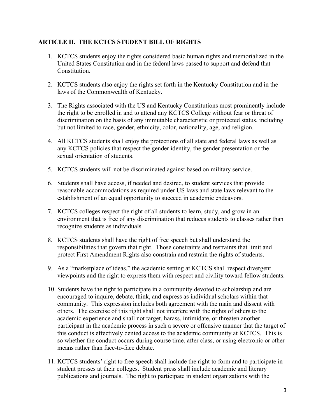#### **ARTICLE II. THE KCTCS STUDENT BILL OF RIGHTS**

- 1. KCTCS students enjoy the rights considered basic human rights and memorialized in the United States Constitution and in the federal laws passed to support and defend that Constitution.
- 2. KCTCS students also enjoy the rights set forth in the Kentucky Constitution and in the laws of the Commonwealth of Kentucky.
- 3. The Rights associated with the US and Kentucky Constitutions most prominently include the right to be enrolled in and to attend any KCTCS College without fear or threat of discrimination on the basis of any immutable characteristic or protected status, including but not limited to race, gender, ethnicity, color, nationality, age, and religion.
- 4. All KCTCS students shall enjoy the protections of all state and federal laws as well as any KCTCS policies that respect the gender identity, the gender presentation or the sexual orientation of students.
- 5. KCTCS students will not be discriminated against based on military service.
- 6. Students shall have access, if needed and desired, to student services that provide reasonable accommodations as required under US laws and state laws relevant to the establishment of an equal opportunity to succeed in academic endeavors.
- 7. KCTCS colleges respect the right of all students to learn, study, and grow in an environment that is free of any discrimination that reduces students to classes rather than recognize students as individuals.
- 8. KCTCS students shall have the right of free speech but shall understand the responsibilities that govern that right. Those constraints and restraints that limit and protect First Amendment Rights also constrain and restrain the rights of students.
- 9. As a "marketplace of ideas," the academic setting at KCTCS shall respect divergent viewpoints and the right to express them with respect and civility toward fellow students.
- 10. Students have the right to participate in a community devoted to scholarship and are encouraged to inquire, debate, think, and express as individual scholars within that community. This expression includes both agreement with the main and dissent with others. The exercise of this right shall not interfere with the rights of others to the academic experience and shall not target, harass, intimidate, or threaten another participant in the academic process in such a severe or offensive manner that the target of this conduct is effectively denied access to the academic community at KCTCS. This is so whether the conduct occurs during course time, after class, or using electronic or other means rather than face-to-face debate.
- 11. KCTCS students' right to free speech shall include the right to form and to participate in student presses at their colleges. Student press shall include academic and literary publications and journals. The right to participate in student organizations with the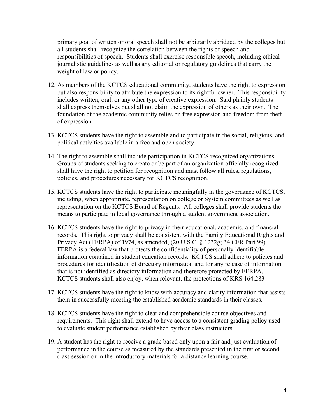primary goal of written or oral speech shall not be arbitrarily abridged by the colleges but all students shall recognize the correlation between the rights of speech and responsibilities of speech. Students shall exercise responsible speech, including ethical journalistic guidelines as well as any editorial or regulatory guidelines that carry the weight of law or policy.

- 12. As members of the KCTCS educational community, students have the right to expression but also responsibility to attribute the expression to its rightful owner. This responsibility includes written, oral, or any other type of creative expression. Said plainly students shall express themselves but shall not claim the expression of others as their own. The foundation of the academic community relies on free expression and freedom from theft of expression.
- 13. KCTCS students have the right to assemble and to participate in the social, religious, and political activities available in a free and open society.
- 14. The right to assemble shall include participation in KCTCS recognized organizations. Groups of students seeking to create or be part of an organization officially recognized shall have the right to petition for recognition and must follow all rules, regulations, policies, and procedures necessary for KCTCS recognition.
- 15. KCTCS students have the right to participate meaningfully in the governance of KCTCS, including, when appropriate, representation on college or System committees as well as representation on the KCTCS Board of Regents. All colleges shall provide students the means to participate in local governance through a student government association.
- 16. KCTCS students have the right to privacy in their educational, academic, and financial records. This right to privacy shall be consistent with the Family Educational Rights and Privacy Act (FERPA) of 1974, as amended, (20 U.S.C. § 1232g; 34 CFR Part 99). FERPA is a federal law that protects the confidentiality of personally identifiable information contained in student education records. KCTCS shall adhere to policies and procedures for identification of directory information and for any release of information that is not identified as directory information and therefore protected by FERPA. KCTCS students shall also enjoy, when relevant, the protections of KRS 164.283
- 17. KCTCS students have the right to know with accuracy and clarity information that assists them in successfully meeting the established academic standards in their classes.
- 18. KCTCS students have the right to clear and comprehensible course objectives and requirements. This right shall extend to have access to a consistent grading policy used to evaluate student performance established by their class instructors.
- 19. A student has the right to receive a grade based only upon a fair and just evaluation of performance in the course as measured by the standards presented in the first or second class session or in the introductory materials for a distance learning course.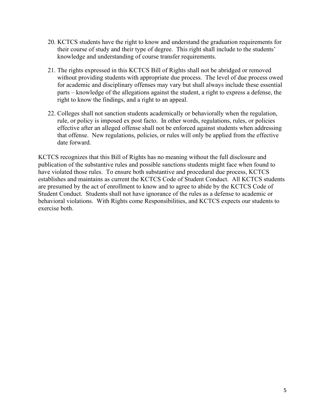- 20. KCTCS students have the right to know and understand the graduation requirements for their course of study and their type of degree. This right shall include to the students' knowledge and understanding of course transfer requirements.
- 21. The rights expressed in this KCTCS Bill of Rights shall not be abridged or removed without providing students with appropriate due process. The level of due process owed for academic and disciplinary offenses may vary but shall always include these essential parts – knowledge of the allegations against the student, a right to express a defense, the right to know the findings, and a right to an appeal.
- 22. Colleges shall not sanction students academically or behaviorally when the regulation, rule, or policy is imposed ex post facto. In other words, regulations, rules, or policies effective after an alleged offense shall not be enforced against students when addressing that offense. New regulations, policies, or rules will only be applied from the effective date forward.

KCTCS recognizes that this Bill of Rights has no meaning without the full disclosure and publication of the substantive rules and possible sanctions students might face when found to have violated those rules. To ensure both substantive and procedural due process, KCTCS establishes and maintains as current the KCTCS Code of Student Conduct. All KCTCS students are presumed by the act of enrollment to know and to agree to abide by the KCTCS Code of Student Conduct. Students shall not have ignorance of the rules as a defense to academic or behavioral violations. With Rights come Responsibilities, and KCTCS expects our students to exercise both.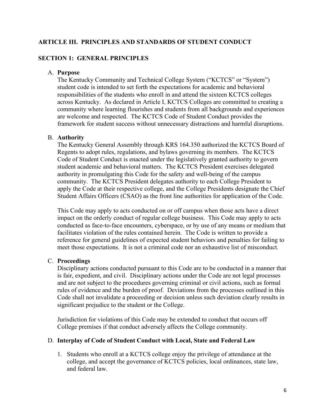#### **ARTICLE III. PRINCIPLES AND STANDARDS OF STUDENT CONDUCT**

#### **SECTION 1: GENERAL PRINCIPLES**

#### A. **Purpose**

The Kentucky Community and Technical College System ("KCTCS" or "System") student code is intended to set forth the expectations for academic and behavioral responsibilities of the students who enroll in and attend the sixteen KCTCS colleges across Kentucky. As declared in Article I, KCTCS Colleges are committed to creating a community where learning flourishes and students from all backgrounds and experiences are welcome and respected. The KCTCS Code of Student Conduct provides the framework for student success without unnecessary distractions and harmful disruptions.

#### B. **Authority**

The Kentucky General Assembly through KRS 164.350 authorized the KCTCS Board of Regents to adopt rules, regulations, and bylaws governing its members. The KCTCS Code of Student Conduct is enacted under the legislatively granted authority to govern student academic and behavioral matters. The KCTCS President exercises delegated authority in promulgating this Code for the safety and well-being of the campus community. The KCTCS President delegates authority to each College President to apply the Code at their respective college, and the College Presidents designate the Chief Student Affairs Officers (CSAO) as the front line authorities for application of the Code.

This Code may apply to acts conducted on or off campus when those acts have a direct impact on the orderly conduct of regular college business. This Code may apply to acts conducted as face-to-face encounters, cyberspace, or by use of any means or medium that facilitates violation of the rules contained herein. The Code is written to provide a reference for general guidelines of expected student behaviors and penalties for failing to meet those expectations. It is not a criminal code nor an exhaustive list of misconduct.

#### C. **Proceedings**

Disciplinary actions conducted pursuant to this Code are to be conducted in a manner that is fair, expedient, and civil. Disciplinary actions under the Code are not legal processes and are not subject to the procedures governing criminal or civil actions, such as formal rules of evidence and the burden of proof. Deviations from the processes outlined in this Code shall not invalidate a proceeding or decision unless such deviation clearly results in significant prejudice to the student or the College.

Jurisdiction for violations of this Code may be extended to conduct that occurs off College premises if that conduct adversely affects the College community.

#### D. **Interplay of Code of Student Conduct with Local, State and Federal Law**

1. Students who enroll at a KCTCS college enjoy the privilege of attendance at the college, and accept the governance of KCTCS policies, local ordinances, state law, and federal law.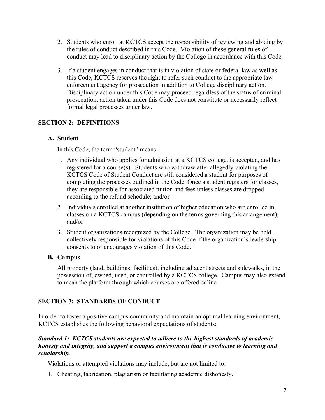- 2. Students who enroll at KCTCS accept the responsibility of reviewing and abiding by the rules of conduct described in this Code. Violation of these general rules of conduct may lead to disciplinary action by the College in accordance with this Code.
- 3. If a student engages in conduct that is in violation of state or federal law as well as this Code, KCTCS reserves the right to refer such conduct to the appropriate law enforcement agency for prosecution in addition to College disciplinary action. Disciplinary action under this Code may proceed regardless of the status of criminal prosecution; action taken under this Code does not constitute or necessarily reflect formal legal processes under law.

#### **SECTION 2: DEFINITIONS**

#### **A. Student**

In this Code, the term "student" means:

- 1. Any individual who applies for admission at a KCTCS college, is accepted, and has registered for a course(s). Students who withdraw after allegedly violating the KCTCS Code of Student Conduct are still considered a student for purposes of completing the processes outlined in the Code. Once a student registers for classes, they are responsible for associated tuition and fees unless classes are dropped according to the refund schedule; and/or
- 2. Individuals enrolled at another institution of higher education who are enrolled in classes on a KCTCS campus (depending on the terms governing this arrangement); and/or
- 3. Student organizations recognized by the College. The organization may be held collectively responsible for violations of this Code if the organization's leadership consents to or encourages violation of this Code.

#### **B. Campus**

All property (land, buildings, facilities), including adjacent streets and sidewalks, in the possession of, owned, used, or controlled by a KCTCS college. Campus may also extend to mean the platform through which courses are offered online.

#### **SECTION 3: STANDARDS OF CONDUCT**

In order to foster a positive campus community and maintain an optimal learning environment, KCTCS establishes the following behavioral expectations of students:

#### *Standard 1: KCTCS students are expected to adhere to the highest standards of academic honesty and integrity, and support a campus environment that is conducive to learning and scholarship.*

Violations or attempted violations may include, but are not limited to:

1. Cheating, fabrication, plagiarism or facilitating academic dishonesty.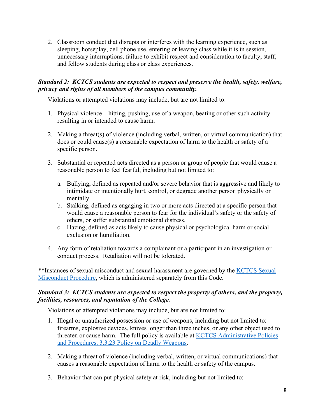2. Classroom conduct that disrupts or interferes with the learning experience, such as sleeping, horseplay, cell phone use, entering or leaving class while it is in session, unnecessary interruptions, failure to exhibit respect and consideration to faculty, staff, and fellow students during class or class experiences.

#### *Standard 2: KCTCS students are expected to respect and preserve the health, safety, welfare, privacy and rights of all members of the campus community.*

Violations or attempted violations may include, but are not limited to:

- 1. Physical violence hitting, pushing, use of a weapon, beating or other such activity resulting in or intended to cause harm.
- 2. Making a threat(s) of violence (including verbal, written, or virtual communication) that does or could cause(s) a reasonable expectation of harm to the health or safety of a specific person.
- 3. Substantial or repeated acts directed as a person or group of people that would cause a reasonable person to feel fearful, including but not limited to:
	- a. Bullying, defined as repeated and/or severe behavior that is aggressive and likely to intimidate or intentionally hurt, control, or degrade another person physically or mentally.
	- b. Stalking, defined as engaging in two or more acts directed at a specific person that would cause a reasonable person to fear for the individual's safety or the safety of others, or suffer substantial emotional distress.
	- c. Hazing, defined as acts likely to cause physical or psychological harm or social exclusion or humiliation.
- 4. Any form of retaliation towards a complainant or a participant in an investigation or conduct process. Retaliation will not be tolerated.

\*\*Instances of sexual misconduct and sexual harassment are governed by the [KCTCS Sexual](http://kctcs.edu/en/Students/Title_IX_Procedures.aspx)  [Misconduct Procedure,](http://kctcs.edu/en/Students/Title_IX_Procedures.aspx) which is administered separately from this Code.

#### *Standard 3: KCTCS students are expected to respect the property of others, and the property, facilities, resources, and reputation of the College.*

Violations or attempted violations may include, but are not limited to:

- 1. Illegal or unauthorized possession or use of weapons, including but not limited to: firearms, explosive devices, knives longer than three inches, or any other object used to threaten or cause harm. The full policy is available at [KCTCS Administrative Policies](https://policies.kctcs.edu/administrative-policies/3-3-23.aspx)  [and Procedures, 3.3.23 Policy on Deadly Weapons.](https://policies.kctcs.edu/administrative-policies/3-3-23.aspx)
- 2. Making a threat of violence (including verbal, written, or virtual communications) that causes a reasonable expectation of harm to the health or safety of the campus.
- 3. Behavior that can put physical safety at risk, including but not limited to: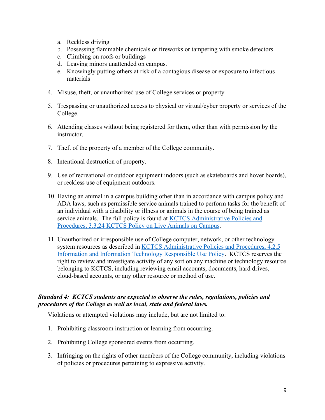- a. Reckless driving
- b. Possessing flammable chemicals or fireworks or tampering with smoke detectors
- c. Climbing on roofs or buildings
- d. Leaving minors unattended on campus.
- e. Knowingly putting others at risk of a contagious disease or exposure to infectious materials
- 4. Misuse, theft, or unauthorized use of College services or property
- 5. Trespassing or unauthorized access to physical or virtual/cyber property or services of the College.
- 6. Attending classes without being registered for them, other than with permission by the instructor.
- 7. Theft of the property of a member of the College community.
- 8. Intentional destruction of property.
- 9. Use of recreational or outdoor equipment indoors (such as skateboards and hover boards), or reckless use of equipment outdoors.
- 10. Having an animal in a campus building other than in accordance with campus policy and ADA laws, such as permissible service animals trained to perform tasks for the benefit of an individual with a disability or illness or animals in the course of being trained as service animals. The full policy is found at KCTCS Administrative Policies and [Procedures, 3.3.24 KCTCS Policy on Live Animals on Campus.](https://policies.kctcs.edu/administrative-procedures/3-3-24-P.aspx)
- 11. Unauthorized or irresponsible use of College computer, network, or other technology system resources as described in [KCTCS Administrative Policies and Procedures, 4.2.5](https://policies.kctcs.edu/administrative-policies/4-2-5.aspx)  [Information and Information Technology Responsible Use Policy.](https://policies.kctcs.edu/administrative-policies/4-2-5.aspx) KCTCS reserves the right to review and investigate activity of any sort on any machine or technology resource belonging to KCTCS, including reviewing email accounts, documents, hard drives, cloud-based accounts, or any other resource or method of use.

#### *Standard 4: KCTCS students are expected to observe the rules, regulations, policies and procedures of the College as well as local, state and federal laws.*

Violations or attempted violations may include, but are not limited to:

- 1. Prohibiting classroom instruction or learning from occurring.
- 2. Prohibiting College sponsored events from occurring.
- 3. Infringing on the rights of other members of the College community, including violations of policies or procedures pertaining to expressive activity.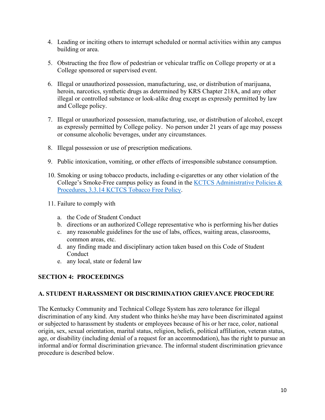- 4. Leading or inciting others to interrupt scheduled or normal activities within any campus building or area.
- 5. Obstructing the free flow of pedestrian or vehicular traffic on College property or at a College sponsored or supervised event.
- 6. Illegal or unauthorized possession, manufacturing, use, or distribution of marijuana, heroin, narcotics, synthetic drugs as determined by KRS Chapter 218A, and any other illegal or controlled substance or look-alike drug except as expressly permitted by law and College policy.
- 7. Illegal or unauthorized possession, manufacturing, use, or distribution of alcohol, except as expressly permitted by College policy. No person under 21 years of age may possess or consume alcoholic beverages, under any circumstances.
- 8. Illegal possession or use of prescription medications.
- 9. Public intoxication, vomiting, or other effects of irresponsible substance consumption.
- 10. Smoking or using tobacco products, including e-cigarettes or any other violation of the College's Smoke-Free campus policy as found in the [KCTCS Administrative Policies &](https://policies.kctcs.edu/administrative-policies/3-3-14.aspx)  [Procedures, 3.3.14 KCTCS Tobacco Free Policy.](https://policies.kctcs.edu/administrative-policies/3-3-14.aspx)
- 11. Failure to comply with
	- a. the Code of Student Conduct
	- b. directions or an authorized College representative who is performing his/her duties
	- c. any reasonable guidelines for the use of labs, offices, waiting areas, classrooms, common areas, etc.
	- d. any finding made and disciplinary action taken based on this Code of Student Conduct
	- e. any local, state or federal law

#### **SECTION 4: PROCEEDINGS**

#### **A. STUDENT HARASSMENT OR DISCRIMINATION GRIEVANCE PROCEDURE**

The Kentucky Community and Technical College System has zero tolerance for illegal discrimination of any kind. Any student who thinks he/she may have been discriminated against or subjected to harassment by students or employees because of his or her race, color, national origin, sex, sexual orientation, marital status, religion, beliefs, political affiliation, veteran status, age, or disability (including denial of a request for an accommodation), has the right to pursue an informal and/or formal discrimination grievance. The informal student discrimination grievance procedure is described below.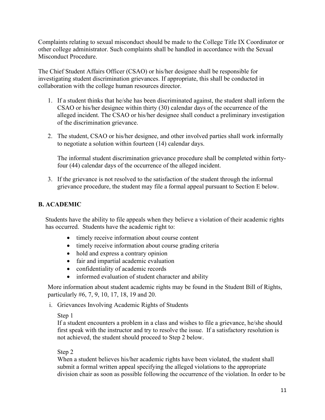Complaints relating to sexual misconduct should be made to the College Title IX Coordinator or other college administrator. Such complaints shall be handled in accordance with the Sexual Misconduct Procedure.

The Chief Student Affairs Officer (CSAO) or his/her designee shall be responsible for investigating student discrimination grievances. If appropriate, this shall be conducted in collaboration with the college human resources director.

- 1. If a student thinks that he/she has been discriminated against, the student shall inform the CSAO or his/her designee within thirty (30) calendar days of the occurrence of the alleged incident. The CSAO or his/her designee shall conduct a preliminary investigation of the discrimination grievance.
- 2. The student, CSAO or his/her designee, and other involved parties shall work informally to negotiate a solution within fourteen (14) calendar days.

The informal student discrimination grievance procedure shall be completed within fortyfour (44) calendar days of the occurrence of the alleged incident.

3. If the grievance is not resolved to the satisfaction of the student through the informal grievance procedure, the student may file a formal appeal pursuant to Section E below.

#### **B. ACADEMIC**

Students have the ability to file appeals when they believe a violation of their academic rights has occurred. Students have the academic right to:

- timely receive information about course content
- timely receive information about course grading criteria
- hold and express a contrary opinion
- fair and impartial academic evaluation
- confidentiality of academic records
- informed evaluation of student character and ability

More information about student academic rights may be found in the Student Bill of Rights, particularly #6, 7, 9, 10, 17, 18, 19 and 20.

i. Grievances Involving Academic Rights of Students

#### Step 1

If a student encounters a problem in a class and wishes to file a grievance, he/she should first speak with the instructor and try to resolve the issue. If a satisfactory resolution is not achieved, the student should proceed to Step 2 below.

#### Step 2

When a student believes his/her academic rights have been violated, the student shall submit a formal written appeal specifying the alleged violations to the appropriate division chair as soon as possible following the occurrence of the violation. In order to be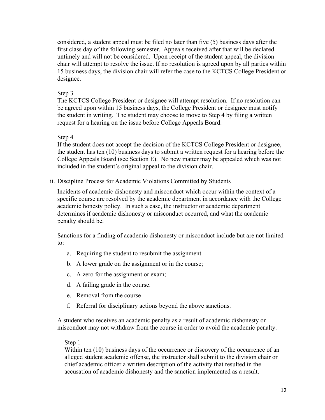considered, a student appeal must be filed no later than five (5) business days after the first class day of the following semester. Appeals received after that will be declared untimely and will not be considered. Upon receipt of the student appeal, the division chair will attempt to resolve the issue. If no resolution is agreed upon by all parties within 15 business days, the division chair will refer the case to the KCTCS College President or designee.

#### Step 3

The KCTCS College President or designee will attempt resolution. If no resolution can be agreed upon within 15 business days, the College President or designee must notify the student in writing. The student may choose to move to Step 4 by filing a written request for a hearing on the issue before College Appeals Board.

#### Step 4

If the student does not accept the decision of the KCTCS College President or designee, the student has ten (10) business days to submit a written request for a hearing before the College Appeals Board (see Section E). No new matter may be appealed which was not included in the student's original appeal to the division chair.

ii. Discipline Process for Academic Violations Committed by Students

Incidents of academic dishonesty and misconduct which occur within the context of a specific course are resolved by the academic department in accordance with the College academic honesty policy. In such a case, the instructor or academic department determines if academic dishonesty or misconduct occurred, and what the academic penalty should be.

Sanctions for a finding of academic dishonesty or misconduct include but are not limited to:

- a. Requiring the student to resubmit the assignment
- b. A lower grade on the assignment or in the course;
- c. A zero for the assignment or exam;
- d. A failing grade in the course.
- e. Removal from the course
- f. Referral for disciplinary actions beyond the above sanctions.

A student who receives an academic penalty as a result of academic dishonesty or misconduct may not withdraw from the course in order to avoid the academic penalty.

#### Step 1

Within ten (10) business days of the occurrence or discovery of the occurrence of an alleged student academic offense, the instructor shall submit to the division chair or chief academic officer a written description of the activity that resulted in the accusation of academic dishonesty and the sanction implemented as a result.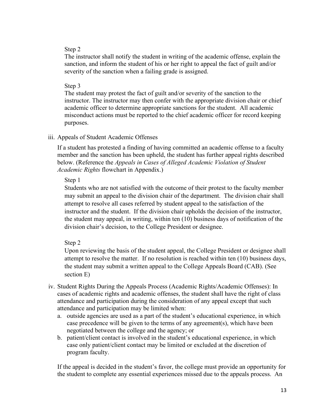#### Step 2

The instructor shall notify the student in writing of the academic offense, explain the sanction, and inform the student of his or her right to appeal the fact of guilt and/or severity of the sanction when a failing grade is assigned.

#### Step 3

The student may protest the fact of guilt and/or severity of the sanction to the instructor. The instructor may then confer with the appropriate division chair or chief academic officer to determine appropriate sanctions for the student. All academic misconduct actions must be reported to the chief academic officer for record keeping purposes.

#### iii. Appeals of Student Academic Offenses

If a student has protested a finding of having committed an academic offense to a faculty member and the sanction has been upheld, the student has further appeal rights described below. (Reference the *Appeals in Cases of Alleged Academic Violation of Student Academic Rights* flowchart in Appendix.)

#### Step 1

Students who are not satisfied with the outcome of their protest to the faculty member may submit an appeal to the division chair of the department. The division chair shall attempt to resolve all cases referred by student appeal to the satisfaction of the instructor and the student. If the division chair upholds the decision of the instructor, the student may appeal, in writing, within ten (10) business days of notification of the division chair's decision, to the College President or designee.

#### Step 2

Upon reviewing the basis of the student appeal, the College President or designee shall attempt to resolve the matter. If no resolution is reached within ten (10) business days, the student may submit a written appeal to the College Appeals Board (CAB). (See section E)

- iv. Student Rights During the Appeals Process (Academic Rights/Academic Offenses): In cases of academic rights and academic offenses, the student shall have the right of class attendance and participation during the consideration of any appeal except that such attendance and participation may be limited when:
	- a. outside agencies are used as a part of the student's educational experience, in which case precedence will be given to the terms of any agreement(s), which have been negotiated between the college and the agency; or
	- b. patient/client contact is involved in the student's educational experience, in which case only patient/client contact may be limited or excluded at the discretion of program faculty.

If the appeal is decided in the student's favor, the college must provide an opportunity for the student to complete any essential experiences missed due to the appeals process. An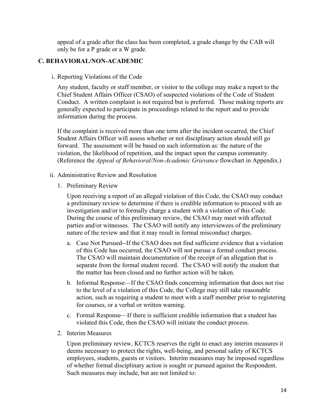appeal of a grade after the class has been completed, a grade change by the CAB will only be for a P grade or a W grade.

#### **C. BEHAVIORAL/NON-ACADEMIC**

i. Reporting Violations of the Code

Any student, faculty or staff member, or visitor to the college may make a report to the Chief Student Affairs Officer (CSAO) of suspected violations of the Code of Student Conduct. A written complaint is not required but is preferred. Those making reports are generally expected to participate in proceedings related to the report and to provide information during the process.

If the complaint is received more than one term after the incident occurred, the Chief Student Affairs Officer will assess whether or not disciplinary action should still go forward. The assessment will be based on such information as: the nature of the violation, the likelihood of repetition, and the impact upon the campus community. (Reference the *Appeal of Behavioral/Non-Academic Grievance* flowchart in Appendix.)

- ii. Administrative Review and Resolution
	- 1. Preliminary Review

Upon receiving a report of an alleged violation of this Code, the CSAO may conduct a preliminary review to determine if there is credible information to proceed with an investigation and/or to formally charge a student with a violation of this Code. During the course of this preliminary review, the CSAO may meet with affected parties and/or witnesses. The CSAO will notify any interviewees of the preliminary nature of the review and that it may result in formal misconduct charges.

- a. Case Not Pursued--If the CSAO does not find sufficient evidence that a violation of this Code has occurred, the CSAO will not pursue a formal conduct process. The CSAO will maintain documentation of the receipt of an allegation that is separate from the formal student record. The CSAO will notify the student that the matter has been closed and no further action will be taken.
- b. Informal Response—If the CSAO finds concerning information that does not rise to the level of a violation of this Code, the College may still take reasonable action, such as requiring a student to meet with a staff member prior to registering for courses, or a verbal or written warning.
- c. Formal Response—If there is sufficient credible information that a student has violated this Code, then the CSAO will initiate the conduct process.
- 2. Interim Measures

Upon preliminary review, KCTCS reserves the right to enact any interim measures it deems necessary to protect the rights, well-being, and personal safety of KCTCS employees, students, guests or visitors. Interim measures may be imposed regardless of whether formal disciplinary action is sought or pursued against the Respondent. Such measures may include, but are not limited to: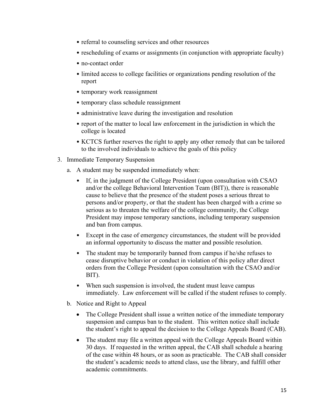- referral to counseling services and other resources
- rescheduling of exams or assignments (in conjunction with appropriate faculty)
- no-contact order
- limited access to college facilities or organizations pending resolution of the report
- temporary work reassignment
- temporary class schedule reassignment
- administrative leave during the investigation and resolution
- report of the matter to local law enforcement in the jurisdiction in which the college is located
- KCTCS further reserves the right to apply any other remedy that can be tailored to the involved individuals to achieve the goals of this policy
- 3. Immediate Temporary Suspension
	- a. A student may be suspended immediately when:
		- If, in the judgment of the College President (upon consultation with CSAO and/or the college Behavioral Intervention Team (BIT)), there is reasonable cause to believe that the presence of the student poses a serious threat to persons and/or property, or that the student has been charged with a crime so serious as to threaten the welfare of the college community, the College President may impose temporary sanctions, including temporary suspension and ban from campus.
		- Except in the case of emergency circumstances, the student will be provided an informal opportunity to discuss the matter and possible resolution.
		- The student may be temporarily banned from campus if he/she refuses to cease disruptive behavior or conduct in violation of this policy after direct orders from the College President (upon consultation with the CSAO and/or BIT).
		- When such suspension is involved, the student must leave campus immediately. Law enforcement will be called if the student refuses to comply.
	- b. Notice and Right to Appeal
		- The College President shall issue a written notice of the immediate temporary suspension and campus ban to the student. This written notice shall include the student's right to appeal the decision to the College Appeals Board (CAB).
		- The student may file a written appeal with the College Appeals Board within 30 days. If requested in the written appeal, the CAB shall schedule a hearing of the case within 48 hours, or as soon as practicable. The CAB shall consider the student's academic needs to attend class, use the library, and fulfill other academic commitments.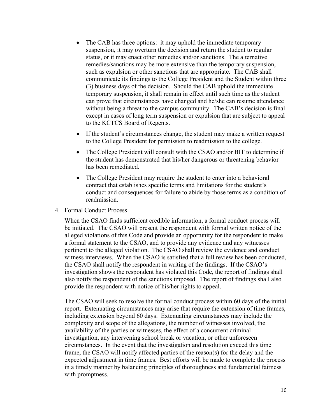- The CAB has three options: it may uphold the immediate temporary suspension, it may overturn the decision and return the student to regular status, or it may enact other remedies and/or sanctions. The alternative remedies/sanctions may be more extensive than the temporary suspension, such as expulsion or other sanctions that are appropriate. The CAB shall communicate its findings to the College President and the Student within three (3) business days of the decision. Should the CAB uphold the immediate temporary suspension, it shall remain in effect until such time as the student can prove that circumstances have changed and he/she can resume attendance without being a threat to the campus community. The CAB's decision is final except in cases of long term suspension or expulsion that are subject to appeal to the KCTCS Board of Regents.
- If the student's circumstances change, the student may make a written request to the College President for permission to readmission to the college.
- The College President will consult with the CSAO and/or BIT to determine if the student has demonstrated that his/her dangerous or threatening behavior has been remediated.
- The College President may require the student to enter into a behavioral contract that establishes specific terms and limitations for the student's conduct and consequences for failure to abide by those terms as a condition of readmission.
- 4. Formal Conduct Process

When the CSAO finds sufficient credible information, a formal conduct process will be initiated. The CSAO will present the respondent with formal written notice of the alleged violations of this Code and provide an opportunity for the respondent to make a formal statement to the CSAO, and to provide any evidence and any witnesses pertinent to the alleged violation. The CSAO shall review the evidence and conduct witness interviews. When the CSAO is satisfied that a full review has been conducted, the CSAO shall notify the respondent in writing of the findings. If the CSAO's investigation shows the respondent has violated this Code, the report of findings shall also notify the respondent of the sanctions imposed. The report of findings shall also provide the respondent with notice of his/her rights to appeal.

The CSAO will seek to resolve the formal conduct process within 60 days of the initial report. Extenuating circumstances may arise that require the extension of time frames, including extension beyond 60 days. Extenuating circumstances may include the complexity and scope of the allegations, the number of witnesses involved, the availability of the parties or witnesses, the effect of a concurrent criminal investigation, any intervening school break or vacation, or other unforeseen circumstances. In the event that the investigation and resolution exceed this time frame, the CSAO will notify affected parties of the reason(s) for the delay and the expected adjustment in time frames. Best efforts will be made to complete the process in a timely manner by balancing principles of thoroughness and fundamental fairness with promptness.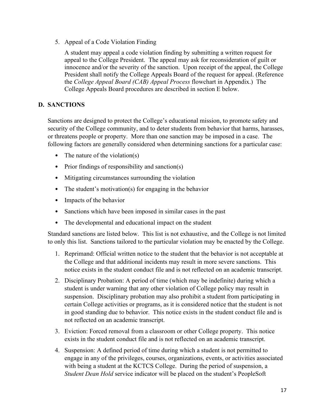5. Appeal of a Code Violation Finding

A student may appeal a code violation finding by submitting a written request for appeal to the College President. The appeal may ask for reconsideration of guilt or innocence and/or the severity of the sanction. Upon receipt of the appeal, the College President shall notify the College Appeals Board of the request for appeal. (Reference the *College Appeal Board (CAB) Appeal Process* flowchart in Appendix.) The College Appeals Board procedures are described in section E below.

#### **D. SANCTIONS**

Sanctions are designed to protect the College's educational mission, to promote safety and security of the College community, and to deter students from behavior that harms, harasses, or threatens people or property. More than one sanction may be imposed in a case. The following factors are generally considered when determining sanctions for a particular case:

- The nature of the violation(s)
- Prior findings of responsibility and sanction(s)
- Mitigating circumstances surrounding the violation
- The student's motivation(s) for engaging in the behavior
- Impacts of the behavior
- Sanctions which have been imposed in similar cases in the past
- The developmental and educational impact on the student

Standard sanctions are listed below. This list is not exhaustive, and the College is not limited to only this list. Sanctions tailored to the particular violation may be enacted by the College.

- 1. Reprimand: Official written notice to the student that the behavior is not acceptable at the College and that additional incidents may result in more severe sanctions. This notice exists in the student conduct file and is not reflected on an academic transcript.
- 2. Disciplinary Probation: A period of time (which may be indefinite) during which a student is under warning that any other violation of College policy may result in suspension. Disciplinary probation may also prohibit a student from participating in certain College activities or programs, as it is considered notice that the student is not in good standing due to behavior. This notice exists in the student conduct file and is not reflected on an academic transcript.
- 3. Eviction: Forced removal from a classroom or other College property. This notice exists in the student conduct file and is not reflected on an academic transcript.
- 4. Suspension: A defined period of time during which a student is not permitted to engage in any of the privileges, courses, organizations, events, or activities associated with being a student at the KCTCS College. During the period of suspension, a *Student Dean Hold* service indicator will be placed on the student's PeopleSoft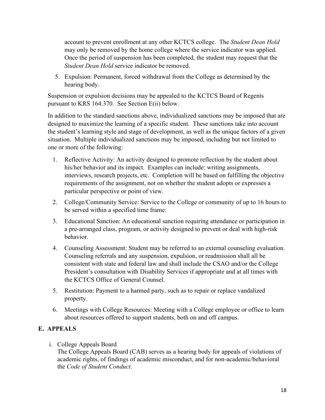account to prevent enrollment at any other KCTCS college. The *Student Dean Hold* may only be removed by the home college where the service indicator was applied. Once the period of suspension has been completed, the student may request that the *Student Dean Hold* service indicator be removed.

5. Expulsion: Permanent, forced withdrawal from the College as determined by the hearing body.

Suspension or expulsion decisions may be appealed to the KCTCS Board of Regents pursuant to KRS 164.370. See Section E(ii) below.

In addition to the standard sanctions above, individualized sanctions may be imposed that are designed to maximize the learning of a specific student. These sanctions take into account the student's learning style and stage of development, as well as the unique factors of a given situation. Multiple individualized sanctions may be imposed, including but not limited to one or more of the following:

- 1. Reflective Activity: An activity designed to promote reflection by the student about his/her behavior and its impact. Examples can include: writing assignments, interviews, research projects, etc. Completion will be based on fulfilling the objective requirements of the assignment, not on whether the student adopts or expresses a particular perspective or point of view.
- 2. College/Community Service: Service to the College or community of up to 16 hours to be served within a specified time frame.
- 3. Educational Sanction: An educational sanction requiring attendance or participation in a pre-arranged class, program, or activity designed to prevent or deal with high-risk behavior.
- 4. Counseling Assessment: Student may be referred to an external counseling evaluation. Counseling referrals and any suspension, expulsion, or readmission shall all be consistent with state and federal law and shall include the CSAO and/or the College President's consultation with Disability Services if appropriate and at all times with the KCTCS Office of General Counsel.
- 5. Restitution: Payment to a harmed party, such as to repair or replace vandalized property.
- 6. Meetings with College Resources: Meeting with a College employee or office to learn about resources offered to support students, both on and off campus.

#### **E. APPEALS**

i. College Appeals Board

The College Appeals Board (CAB) serves as a hearing body for appeals of violations of academic rights, of findings of academic misconduct, and for non-academic/behavioral the *Code of Student Conduct*.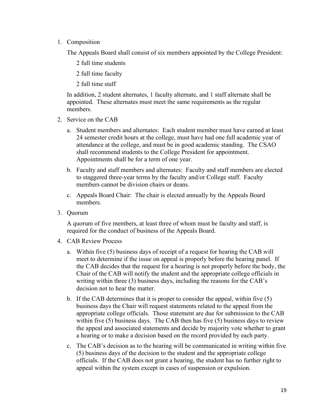1. Composition

The Appeals Board shall consist of six members appointed by the College President:

- 2 full time students
- 2 full time faculty
- 2 full time staff

In addition, 2 student alternates, 1 faculty alternate, and 1 staff alternate shall be appointed. These alternates must meet the same requirements as the regular members.

- 2. Service on the CAB
	- a. Student members and alternates: Each student member must have earned at least 24 semester credit hours at the college, must have had one full academic year of attendance at the college, and must be in good academic standing. The CSAO shall recommend students to the College President for appointment. Appointments shall be for a term of one year.
	- b. Faculty and staff members and alternates: Faculty and staff members are elected to staggered three-year terms by the faculty and/or College staff. Faculty members cannot be division chairs or deans.
	- c. Appeals Board Chair: The chair is elected annually by the Appeals Board members.
- 3. Quorum

A quorum of five members, at least three of whom must be faculty and staff, is required for the conduct of business of the Appeals Board.

- 4. CAB Review Process
	- a. Within five (5) business days of receipt of a request for hearing the CAB will meet to determine if the issue on appeal is properly before the hearing panel. If the CAB decides that the request for a hearing is not properly before the body, the Chair of the CAB will notify the student and the appropriate college officials in writing within three (3) business days, including the reasons for the CAB's decision not to hear the matter.
	- b. If the CAB determines that it is proper to consider the appeal, within five (5) business days the Chair will request statements related to the appeal from the appropriate college officials. Those statement are due for submission to the CAB within five (5) business days. The CAB then has five (5) business days to review the appeal and associated statements and decide by majority vote whether to grant a hearing or to make a decision based on the record provided by each party.
	- c. The CAB's decision as to the hearing will be communicated in writing within five (5) business days of the decision to the student and the appropriate college officials. If the CAB does not grant a hearing, the student has no further right to appeal within the system except in cases of suspension or expulsion.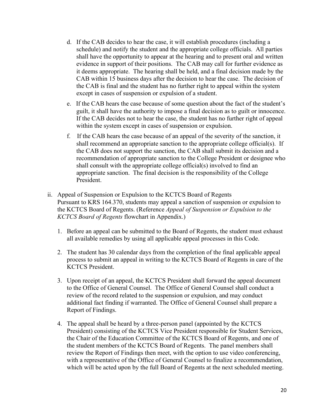- d. If the CAB decides to hear the case, it will establish procedures (including a schedule) and notify the student and the appropriate college officials. All parties shall have the opportunity to appear at the hearing and to present oral and written evidence in support of their positions. The CAB may call for further evidence as it deems appropriate. The hearing shall be held, and a final decision made by the CAB within 15 business days after the decision to hear the case. The decision of the CAB is final and the student has no further right to appeal within the system except in cases of suspension or expulsion of a student.
- e. If the CAB hears the case because of some question about the fact of the student's guilt, it shall have the authority to impose a final decision as to guilt or innocence. If the CAB decides not to hear the case, the student has no further right of appeal within the system except in cases of suspension or expulsion.
- f. If the CAB hears the case because of an appeal of the severity of the sanction, it shall recommend an appropriate sanction to the appropriate college official(s). If the CAB does not support the sanction, the CAB shall submit its decision and a recommendation of appropriate sanction to the College President or designee who shall consult with the appropriate college official(s) involved to find an appropriate sanction. The final decision is the responsibility of the College President.
- ii. Appeal of Suspension or Expulsion to the KCTCS Board of Regents Pursuant to KRS 164.370, students may appeal a sanction of suspension or expulsion to the KCTCS Board of Regents. (Reference *Appeal of Suspension or Expulsion to the KCTCS Board of Regents* flowchart in Appendix.)
	- 1. Before an appeal can be submitted to the Board of Regents, the student must exhaust all available remedies by using all applicable appeal processes in this Code.
	- 2. The student has 30 calendar days from the completion of the final applicable appeal process to submit an appeal in writing to the KCTCS Board of Regents in care of the KCTCS President.
	- 3. Upon receipt of an appeal, the KCTCS President shall forward the appeal document to the Office of General Counsel. The Office of General Counsel shall conduct a review of the record related to the suspension or expulsion, and may conduct additional fact finding if warranted. The Office of General Counsel shall prepare a Report of Findings.
	- 4. The appeal shall be heard by a three-person panel (appointed by the KCTCS President) consisting of the KCTCS Vice President responsible for Student Services, the Chair of the Education Committee of the KCTCS Board of Regents, and one of the student members of the KCTCS Board of Regents. The panel members shall review the Report of Findings then meet, with the option to use video conferencing, with a representative of the Office of General Counsel to finalize a recommendation, which will be acted upon by the full Board of Regents at the next scheduled meeting.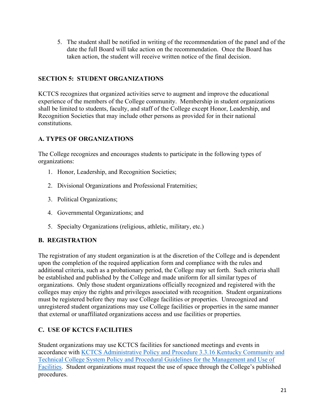5. The student shall be notified in writing of the recommendation of the panel and of the date the full Board will take action on the recommendation. Once the Board has taken action, the student will receive written notice of the final decision.

#### **SECTION 5: STUDENT ORGANIZATIONS**

KCTCS recognizes that organized activities serve to augment and improve the educational experience of the members of the College community. Membership in student organizations shall be limited to students, faculty, and staff of the College except Honor, Leadership, and Recognition Societies that may include other persons as provided for in their national constitutions.

#### **A. TYPES OF ORGANIZATIONS**

The College recognizes and encourages students to participate in the following types of organizations:

- 1. Honor, Leadership, and Recognition Societies;
- 2. Divisional Organizations and Professional Fraternities;
- 3. Political Organizations;
- 4. Governmental Organizations; and
- 5. Specialty Organizations (religious, athletic, military, etc.)

#### **B. REGISTRATION**

The registration of any student organization is at the discretion of the College and is dependent upon the completion of the required application form and compliance with the rules and additional criteria, such as a probationary period, the College may set forth. Such criteria shall be established and published by the College and made uniform for all similar types of organizations. Only those student organizations officially recognized and registered with the colleges may enjoy the rights and privileges associated with recognition. Student organizations must be registered before they may use College facilities or properties. Unrecognized and unregistered student organizations may use College facilities or properties in the same manner that external or unaffiliated organizations access and use facilities or properties.

#### **C. USE OF KCTCS FACILITIES**

Student organizations may use KCTCS facilities for sanctioned meetings and events in accordance with [KCTCS Administrative Policy and Procedure 3.3.16 Kentucky Community and](https://policies.kctcs.edu/administrative-policies/3-3-16.aspx)  [Technical College System Policy and Procedural Guidelines for the Management and Use of](https://policies.kctcs.edu/administrative-policies/3-3-16.aspx)  [Facilities.](https://policies.kctcs.edu/administrative-policies/3-3-16.aspx) Student organizations must request the use of space through the College's published procedures.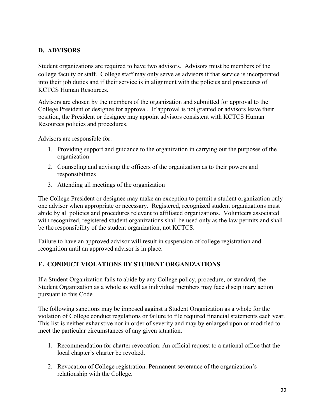#### **D. ADVISORS**

Student organizations are required to have two advisors. Advisors must be members of the college faculty or staff. College staff may only serve as advisors if that service is incorporated into their job duties and if their service is in alignment with the policies and procedures of KCTCS Human Resources.

Advisors are chosen by the members of the organization and submitted for approval to the College President or designee for approval. If approval is not granted or advisors leave their position, the President or designee may appoint advisors consistent with KCTCS Human Resources policies and procedures.

Advisors are responsible for:

- 1. Providing support and guidance to the organization in carrying out the purposes of the organization
- 2. Counseling and advising the officers of the organization as to their powers and responsibilities
- 3. Attending all meetings of the organization

The College President or designee may make an exception to permit a student organization only one advisor when appropriate or necessary. Registered, recognized student organizations must abide by all policies and procedures relevant to affiliated organizations. Volunteers associated with recognized, registered student organizations shall be used only as the law permits and shall be the responsibility of the student organization, not KCTCS.

Failure to have an approved advisor will result in suspension of college registration and recognition until an approved advisor is in place.

#### **E. CONDUCT VIOLATIONS BY STUDENT ORGANIZATIONS**

If a Student Organization fails to abide by any College policy, procedure, or standard, the Student Organization as a whole as well as individual members may face disciplinary action pursuant to this Code.

The following sanctions may be imposed against a Student Organization as a whole for the violation of College conduct regulations or failure to file required financial statements each year. This list is neither exhaustive nor in order of severity and may by enlarged upon or modified to meet the particular circumstances of any given situation.

- 1. Recommendation for charter revocation: An official request to a national office that the local chapter's charter be revoked.
- 2. Revocation of College registration: Permanent severance of the organization's relationship with the College.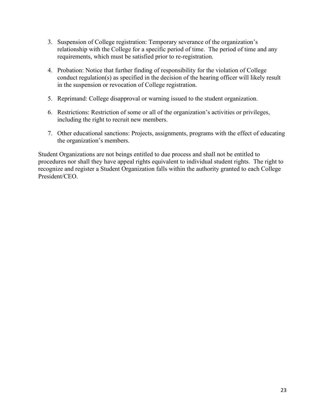- 3. Suspension of College registration: Temporary severance of the organization's relationship with the College for a specific period of time. The period of time and any requirements, which must be satisfied prior to re-registration.
- 4. Probation: Notice that further finding of responsibility for the violation of College conduct regulation(s) as specified in the decision of the hearing officer will likely result in the suspension or revocation of College registration.
- 5. Reprimand: College disapproval or warning issued to the student organization.
- 6. Restrictions: Restriction of some or all of the organization's activities or privileges, including the right to recruit new members.
- 7. Other educational sanctions: Projects, assignments, programs with the effect of educating the organization's members.

Student Organizations are not beings entitled to due process and shall not be entitled to procedures nor shall they have appeal rights equivalent to individual student rights. The right to recognize and register a Student Organization falls within the authority granted to each College President/CEO.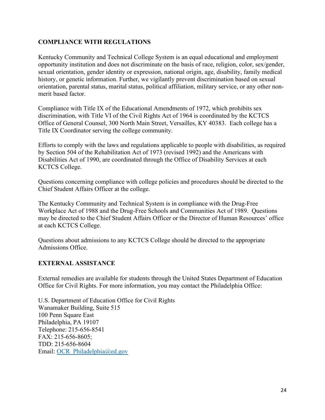#### **COMPLIANCE WITH REGULATIONS**

Kentucky Community and Technical College System is an equal educational and employment opportunity institution and does not discriminate on the basis of race, religion, color, sex/gender, sexual orientation, gender identity or expression, national origin, age, disability, family medical history, or genetic information. Further, we vigilantly prevent discrimination based on sexual orientation, parental status, marital status, political affiliation, military service, or any other nonmerit based factor.

Compliance with Title IX of the Educational Amendments of 1972, which prohibits sex discrimination, with Title VI of the Civil Rights Act of 1964 is coordinated by the KCTCS Office of General Counsel, 300 North Main Street, Versailles, KY 40383. Each college has a Title IX Coordinator serving the college community.

Efforts to comply with the laws and regulations applicable to people with disabilities, as required by Section 504 of the Rehabilitation Act of 1973 (revised 1992) and the Americans with Disabilities Act of 1990, are coordinated through the Office of Disability Services at each KCTCS College.

Questions concerning compliance with college policies and procedures should be directed to the Chief Student Affairs Officer at the college.

The Kentucky Community and Technical System is in compliance with the Drug-Free Workplace Act of 1988 and the Drug-Free Schools and Communities Act of 1989. Questions may be directed to the Chief Student Affairs Officer or the Director of Human Resources' office at each KCTCS College.

Questions about admissions to any KCTCS College should be directed to the appropriate Admissions Office.

#### **EXTERNAL ASSISTANCE**

External remedies are available for students through the United States Department of Education Office for Civil Rights. For more information, you may contact the Philadelphia Office:

U.S. Department of Education Office for Civil Rights Wanamaker Building, Suite 515 100 Penn Square East Philadelphia, PA 19107 Telephone: 215-656-8541 FAX: 215-656-8605; TDD: 215-656-8604 Email: [OCR\\_Philadelphia@ed.gov](mailto:OCR_Philadelphia@ed.gov)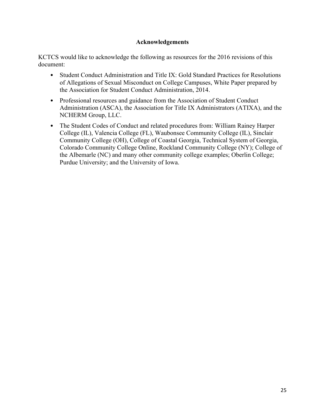#### **Acknowledgements**

KCTCS would like to acknowledge the following as resources for the 2016 revisions of this document:

- Student Conduct Administration and Title IX: Gold Standard Practices for Resolutions of Allegations of Sexual Misconduct on College Campuses, White Paper prepared by the Association for Student Conduct Administration, 2014.
- Professional resources and guidance from the Association of Student Conduct Administration (ASCA), the Association for Title IX Administrators (ATIXA), and the NCHERM Group, LLC.
- The Student Codes of Conduct and related procedures from: William Rainey Harper College (IL), Valencia College (FL), Waubonsee Community College (IL), Sinclair Community College (OH), College of Coastal Georgia, Technical System of Georgia, Colorado Community College Online, Rockland Community College (NY); College of the Albemarle (NC) and many other community college examples; Oberlin College; Purdue University; and the University of Iowa.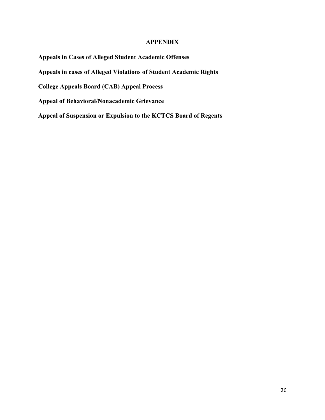#### **APPENDIX**

**Appeals in Cases of Alleged Student Academic Offenses**

**Appeals in cases of Alleged Violations of Student Academic Rights**

**College Appeals Board (CAB) Appeal Process**

**Appeal of Behavioral/Nonacademic Grievance** 

**Appeal of Suspension or Expulsion to the KCTCS Board of Regents**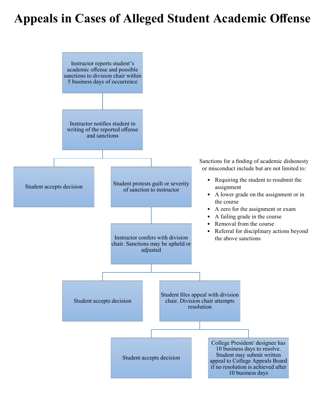# **Appeals in Cases of Alleged Student Academic Offense**

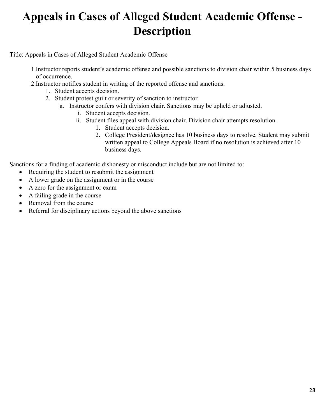# **Appeals in Cases of Alleged Student Academic Offense - Description**

Title: Appeals in Cases of Alleged Student Academic Offense

- 1.Instructor reports student's academic offense and possible sanctions to division chair within 5 business days of occurrence.
- 2.Instructor notifies student in writing of the reported offense and sanctions.
	- 1. Student accepts decision.
	- 2. Student protest guilt or severity of sanction to instructor.
		- a. Instructor confers with division chair. Sanctions may be upheld or adjusted.
			- i. Student accepts decision.
			- ii. Student files appeal with division chair. Division chair attempts resolution.
				- 1. Student accepts decision.
				- 2. College President/designee has 10 business days to resolve. Student may submit written appeal to College Appeals Board if no resolution is achieved after 10 business days.

Sanctions for a finding of academic dishonesty or misconduct include but are not limited to:

- Requiring the student to resubmit the assignment
- A lower grade on the assignment or in the course
- A zero for the assignment or exam
- A failing grade in the course
- Removal from the course
- Referral for disciplinary actions beyond the above sanctions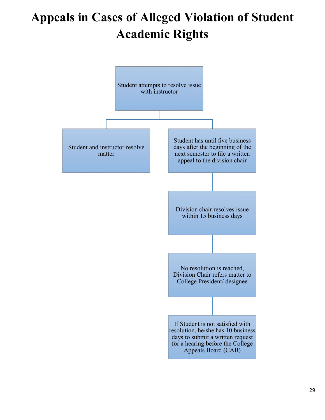# **Appeals in Cases of Alleged Violation of Student Academic Rights**

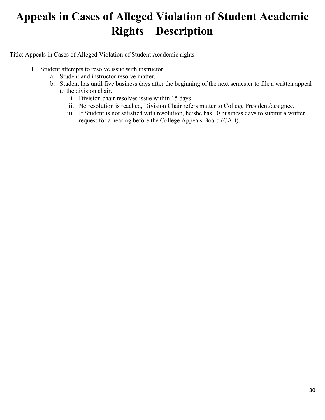### **Appeals in Cases of Alleged Violation of Student Academic Rights – Description**

Title: Appeals in Cases of Alleged Violation of Student Academic rights

- 1. Student attempts to resolve issue with instructor.
	- a. Student and instructor resolve matter.
	- b. Student has until five business days after the beginning of the next semester to file a written appeal to the division chair.
		- i. Division chair resolves issue within 15 days
		- ii. No resolution is reached, Division Chair refers matter to College President/designee.
		- iii. If Student is not satisfied with resolution, he/she has 10 business days to submit a written request for a hearing before the College Appeals Board (CAB).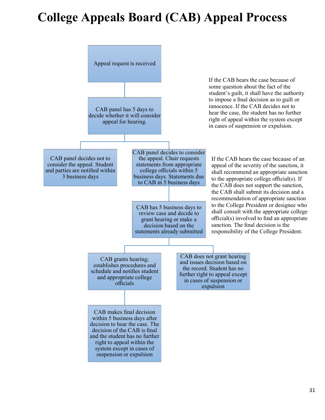# **College Appeals Board (CAB) Appeal Process**

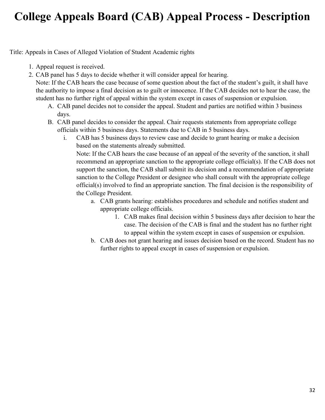### **College Appeals Board (CAB) Appeal Process - Description**

Title: Appeals in Cases of Alleged Violation of Student Academic rights

- 1. Appeal request is received.
- 2. CAB panel has 5 days to decide whether it will consider appeal for hearing.

Note: If the CAB hears the case because of some question about the fact of the student's guilt, it shall have the authority to impose a final decision as to guilt or innocence. If the CAB decides not to hear the case, the student has no further right of appeal within the system except in cases of suspension or expulsion.

- A. CAB panel decides not to consider the appeal. Student and parties are notified within 3 business days.
- B. CAB panel decides to consider the appeal. Chair requests statements from appropriate college officials within 5 business days. Statements due to CAB in 5 business days.
	- i. CAB has 5 business days to review case and decide to grant hearing or make a decision based on the statements already submitted.

Note: If the CAB hears the case because of an appeal of the severity of the sanction, it shall recommend an appropriate sanction to the appropriate college official(s). If the CAB does not support the sanction, the CAB shall submit its decision and a recommendation of appropriate sanction to the College President or designee who shall consult with the appropriate college official(s) involved to find an appropriate sanction. The final decision is the responsibility of the College President.

- a. CAB grants hearing: establishes procedures and schedule and notifies student and appropriate college officials.
	- 1. CAB makes final decision within 5 business days after decision to hear the case. The decision of the CAB is final and the student has no further right to appeal within the system except in cases of suspension or expulsion.
- b. CAB does not grant hearing and issues decision based on the record. Student has no further rights to appeal except in cases of suspension or expulsion.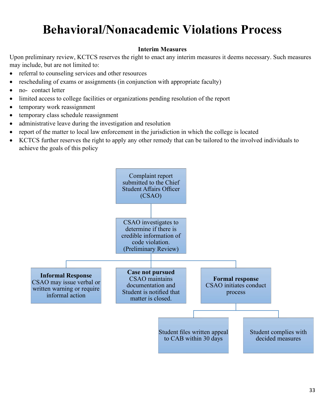# **Behavioral/Nonacademic Violations Process**

#### **Interim Measures**

Upon preliminary review, KCTCS reserves the right to enact any interim measures it deems necessary. Such measures may include, but are not limited to:

- referral to counseling services and other resources
- rescheduling of exams or assignments (in conjunction with appropriate faculty)
- no- contact letter
- limited access to college facilities or organizations pending resolution of the report
- temporary work reassignment
- temporary class schedule reassignment
- administrative leave during the investigation and resolution
- report of the matter to local law enforcement in the jurisdiction in which the college is located
- KCTCS further reserves the right to apply any other remedy that can be tailored to the involved individuals to achieve the goals of this policy

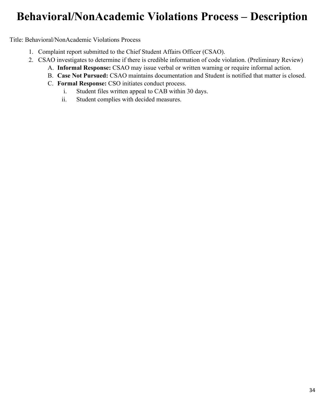### **Behavioral/NonAcademic Violations Process – Description**

Title: Behavioral/NonAcademic Violations Process

- 1. Complaint report submitted to the Chief Student Affairs Officer (CSAO).
- 2. CSAO investigates to determine if there is credible information of code violation. (Preliminary Review)
	- A. **Informal Response:** CSAO may issue verbal or written warning or require informal action.
	- B. **Case Not Pursued:** CSAO maintains documentation and Student is notified that matter is closed.
	- C. **Formal Response:** CSO initiates conduct process.
		- i. Student files written appeal to CAB within 30 days.
		- ii. Student complies with decided measures.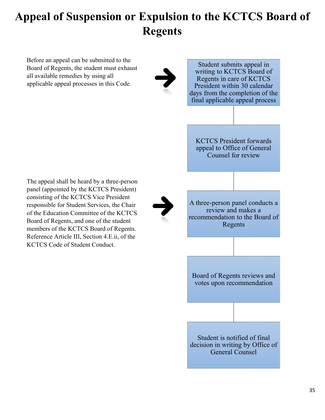# **Appeal of Suspension or Expulsion to the KCTCS Board of Regents**